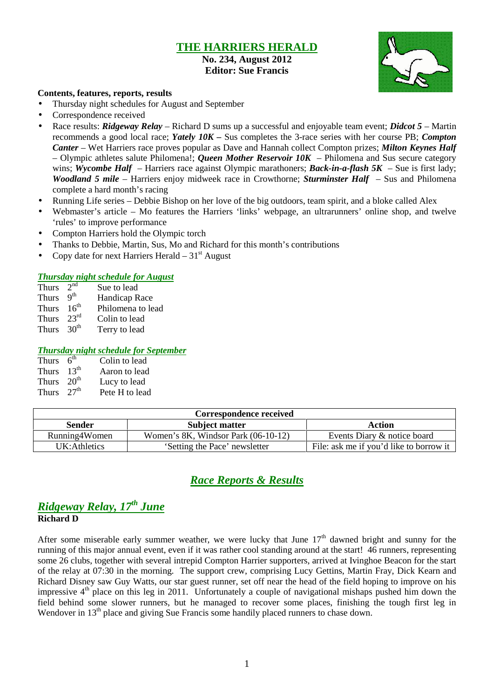# **THE HARRIERS HERALD**

**No. 234, August 2012 Editor: Sue Francis**



#### **Contents, features, reports, results**

- Thursday night schedules for August and September
- Correspondence received
- Race results: *Ridgeway Relay* Richard D sums up a successful and enjoyable team event; *Didcot 5* Martin recommends a good local race; *Yately 10K –* Sus completes the 3-race series with her course PB; *Compton Canter* – Wet Harriers race proves popular as Dave and Hannah collect Compton prizes; *Milton Keynes Half* – Olympic athletes salute Philomena!; *Queen Mother Reservoir 10K* – Philomena and Sus secure category wins; *Wycombe Half* – Harriers race against Olympic marathoners; *Back-in-a-flash* 5K – Sue is first lady; *Woodland 5 mile* – Harriers enjoy midweek race in Crowthorne; *Sturminster Half* – Sus and Philomena complete a hard month's racing
- Running Life series Debbie Bishop on her love of the big outdoors, team spirit, and a bloke called Alex
- Webmaster's article Mo features the Harriers 'links' webpage, an ultrarunners' online shop, and twelve 'rules' to improve performance
- Compton Harriers hold the Olympic torch
- Thanks to Debbie, Martin, Sus, Mo and Richard for this month's contributions
- Copy date for next Harriers Herald  $-31<sup>st</sup>$  August

#### *Thursday night schedule for August*

| Thurs                  | 2 <sup>nd</sup> | Sue to lead       |
|------------------------|-----------------|-------------------|
| Thurs $9th$            |                 | Handicap Race     |
| Thurs $16th$           |                 | Philomena to lead |
| Thurs $23^{\text{rd}}$ |                 | Colin to lead     |
| Thurs $30th$           |                 | Terry to lead     |

#### *Thursday night schedule for September*

| Thurs $6th$  | Colin to lead  |
|--------------|----------------|
| Thurs $13th$ | Aaron to lead  |
| Thurs $20th$ | Lucy to lead   |
| Thurs $27th$ | Pete H to lead |

| Correspondence received |                                          |                                         |  |  |  |  |
|-------------------------|------------------------------------------|-----------------------------------------|--|--|--|--|
| <b>Sender</b>           | Subject matter                           | Action                                  |  |  |  |  |
| Running4Women           | Women's $8K$ , Windsor Park $(06-10-12)$ | Events Diary & notice board             |  |  |  |  |
| UK: Athletics           | 'Setting the Pace' newsletter            | File: ask me if you'd like to borrow it |  |  |  |  |

# *Race Reports & Results*

## *Ridgeway Relay, 17th June* **Richard D**

After some miserable early summer weather, we were lucky that June  $17<sup>th</sup>$  dawned bright and sunny for the running of this major annual event, even if it was rather cool standing around at the start! 46 runners, representing some 26 clubs, together with several intrepid Compton Harrier supporters, arrived at Ivinghoe Beacon for the start of the relay at 07:30 in the morning. The support crew, comprising Lucy Gettins, Martin Fray, Dick Kearn and Richard Disney saw Guy Watts, our star guest runner, set off near the head of the field hoping to improve on his impressive  $4<sup>th</sup>$  place on this leg in 2011. Unfortunately a couple of navigational mishaps pushed him down the field behind some slower runners, but he managed to recover some places, finishing the tough first leg in Wendover in 13<sup>th</sup> place and giving Sue Francis some handily placed runners to chase down.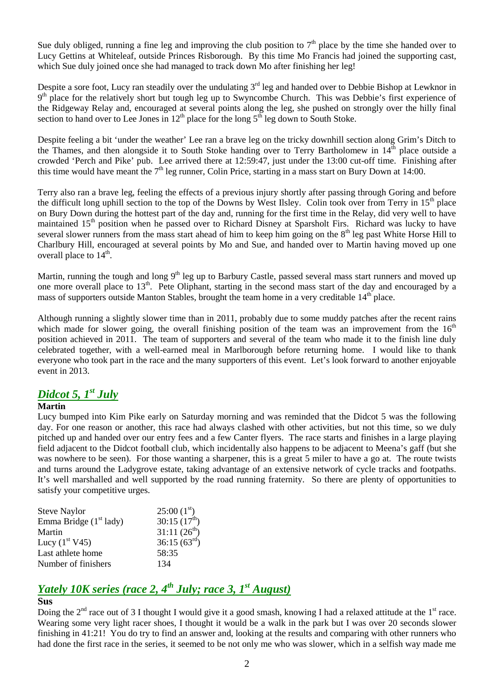Sue duly obliged, running a fine leg and improving the club position to  $7<sup>th</sup>$  place by the time she handed over to Lucy Gettins at Whiteleaf, outside Princes Risborough. By this time Mo Francis had joined the supporting cast, which Sue duly joined once she had managed to track down Mo after finishing her leg!

Despite a sore foot, Lucy ran steadily over the undulating  $3<sup>rd</sup>$  leg and handed over to Debbie Bishop at Lewknor in 9<sup>th</sup> place for the relatively short but tough leg up to Swyncombe Church. This was Debbie's first experience of the Ridgeway Relay and, encouraged at several points along the leg, she pushed on strongly over the hilly final section to hand over to Lee Jones in  $12<sup>th</sup>$  place for the long  $5<sup>th</sup>$  leg down to South Stoke.

Despite feeling a bit 'under the weather' Lee ran a brave leg on the tricky downhill section along Grim's Ditch to the Thames, and then alongside it to South Stoke handing over to Terry Bartholomew in  $14<sup>th</sup>$  place outside a crowded 'Perch and Pike' pub. Lee arrived there at 12:59:47, just under the 13:00 cut-off time. Finishing after this time would have meant the  $7<sup>th</sup>$  leg runner, Colin Price, starting in a mass start on Bury Down at 14:00.

Terry also ran a brave leg, feeling the effects of a previous injury shortly after passing through Goring and before the difficult long uphill section to the top of the Downs by West Ilsley. Colin took over from Terry in  $15<sup>th</sup>$  place on Bury Down during the hottest part of the day and, running for the first time in the Relay, did very well to have maintained 15<sup>th</sup> position when he passed over to Richard Disney at Sparsholt Firs. Richard was lucky to have several slower runners from the mass start ahead of him to keep him going on the  $8<sup>th</sup>$  leg past White Horse Hill to Charlbury Hill, encouraged at several points by Mo and Sue, and handed over to Martin having moved up one overall place to  $14<sup>th</sup>$ .

Martin, running the tough and long  $9<sup>th</sup>$  leg up to Barbury Castle, passed several mass start runners and moved up one more overall place to 13<sup>th</sup>. Pete Oliphant, starting in the second mass start of the day and encouraged by a mass of supporters outside Manton Stables, brought the team home in a very creditable 14<sup>th</sup> place.

Although running a slightly slower time than in 2011, probably due to some muddy patches after the recent rains which made for slower going, the overall finishing position of the team was an improvement from the  $16<sup>th</sup>$ position achieved in 2011. The team of supporters and several of the team who made it to the finish line duly celebrated together, with a well-earned meal in Marlborough before returning home. I would like to thank everyone who took part in the race and the many supporters of this event. Let's look forward to another enjoyable event in 2013.

# *Didcot 5, 1st July*

## **Martin**

Lucy bumped into Kim Pike early on Saturday morning and was reminded that the Didcot 5 was the following day. For one reason or another, this race had always clashed with other activities, but not this time, so we duly pitched up and handed over our entry fees and a few Canter flyers. The race starts and finishes in a large playing field adjacent to the Didcot football club, which incidentally also happens to be adjacent to Meena's gaff (but she was nowhere to be seen). For those wanting a sharpener, this is a great 5 miler to have a go at. The route twists and turns around the Ladygrove estate, taking advantage of an extensive network of cycle tracks and footpaths. It's well marshalled and well supported by the road running fraternity. So there are plenty of opportunities to satisfy your competitive urges.

| <b>Steve Naylor</b>                | 25:00(1 <sup>st</sup> )  |
|------------------------------------|--------------------------|
| Emma Bridge (1 <sup>st</sup> lady) | 30:15(17 <sup>th</sup> ) |
| Martin                             | 31:11(26 <sup>th</sup> ) |
| Lucy $(1st V45)$                   | 36:15(63 <sup>rd</sup> ) |
| Last athlete home                  | 58:35                    |
| Number of finishers                | 134                      |

# *Yately 10K series (race 2, 4th July; race 3, 1st August)*

# **Sus**

Doing the  $2<sup>nd</sup>$  race out of 3 I thought I would give it a good smash, knowing I had a relaxed attitude at the  $1<sup>st</sup>$  race. Wearing some very light racer shoes, I thought it would be a walk in the park but I was over 20 seconds slower finishing in 41:21! You do try to find an answer and, looking at the results and comparing with other runners who had done the first race in the series, it seemed to be not only me who was slower, which in a selfish way made me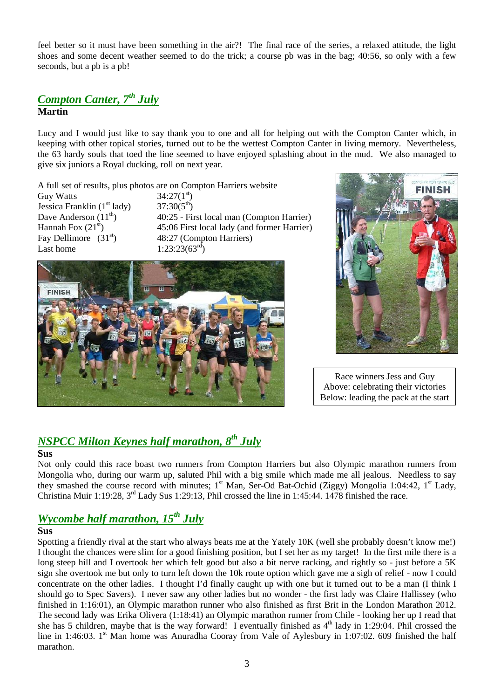feel better so it must have been something in the air?! The final race of the series, a relaxed attitude, the light shoes and some decent weather seemed to do the trick; a course pb was in the bag; 40:56, so only with a few seconds, but a pb is a pb!

# *Compton Canter, 7th July* **Martin**

Lucy and I would just like to say thank you to one and all for helping out with the Compton Canter which, in keeping with other topical stories, turned out to be the wettest Compton Canter in living memory. Nevertheless, the 63 hardy souls that toed the line seemed to have enjoyed splashing about in the mud. We also managed to give six juniors a Royal ducking, roll on next year.

A full set of results, plus photos are on Compton Harriers website

Guy Watts  $34:27(1^{st})$ <br>Jessica Franklin (1<sup>st</sup> lady)  $37:30(5^{th})$ Jessica Franklin (1<sup>st</sup> lady)<br>Dave Anderson (11<sup>th</sup>) Fay Dellimore  $(31<sup>st</sup>)$  48:27 (Compton Harriers) Last home  $1:23:23(63^{rd})$ 

40:25 - First local man (Compton Harrier) Hannah Fox  $(21<sup>st</sup>)$  45:06 First local lady (and former Harrier)





Race winners Jess and Guy Above: celebrating their victories Below: leading the pack at the start

# *NSPCC Milton Keynes half marathon, 8th July*

## **Sus**

Not only could this race boast two runners from Compton Harriers but also Olympic marathon runners from Mongolia who, during our warm up, saluted Phil with a big smile which made me all jealous. Needless to say they smashed the course record with minutes; 1<sup>st</sup> Man, Ser-Od Bat-Ochid (Ziggy) Mongolia 1:04:42, 1<sup>st</sup> Lady, Christina Muir 1:19:28, 3rd Lady Sus 1:29:13, Phil crossed the line in 1:45:44. 1478 finished the race.

# *Wycombe half marathon, 15th July*

## **Sus**

Spotting a friendly rival at the start who always beats me at the Yately 10K (well she probably doesn't know me!) I thought the chances were slim for a good finishing position, but I set her as my target! In the first mile there is a long steep hill and I overtook her which felt good but also a bit nerve racking, and rightly so - just before a 5K sign she overtook me but only to turn left down the 10k route option which gave me a sigh of relief - now I could concentrate on the other ladies. I thought I'd finally caught up with one but it turned out to be a man (I think I should go to Spec Savers). I never saw any other ladies but no wonder - the first lady was Claire Hallissey (who finished in 1:16:01), an Olympic marathon runner who also finished as first Brit in the London Marathon 2012. The second lady was Erika Olivera (1:18:41) an Olympic marathon runner from Chile - looking her up I read that she has 5 children, maybe that is the way forward! I eventually finished as  $4<sup>th</sup>$  lady in 1:29:04. Phil crossed the line in 1:46:03. 1<sup>st</sup> Man home was Anuradha Cooray from Vale of Aylesbury in 1:07:02. 609 finished the half marathon.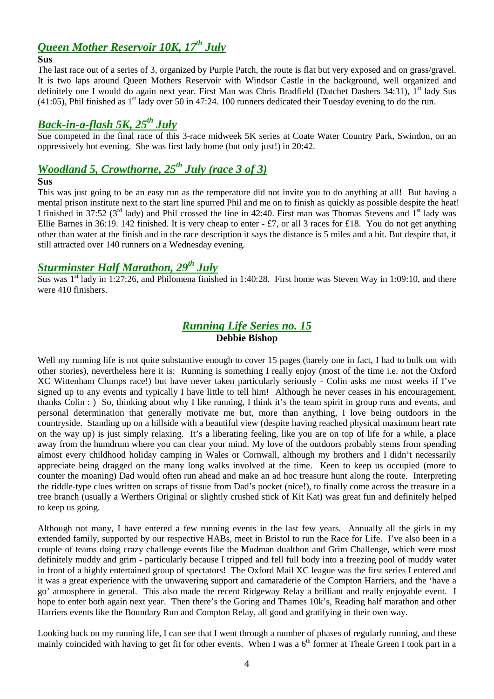# *Queen Mother Reservoir 10K, 17th July*

### **Sus**

The last race out of a series of 3, organized by Purple Patch, the route is flat but very exposed and on grass/gravel. It is two laps around Queen Mothers Reservoir with Windsor Castle in the background, well organized and definitely one I would do again next year. First Man was Chris Bradfield (Datchet Dashers 34:31), 1<sup>st</sup> lady Sus  $(41:05)$ , Phil finished as  $1<sup>st</sup>$  lady over 50 in 47:24. 100 runners dedicated their Tuesday evening to do the run.

# *Back-in-a-flash 5K, 25th July*

Sue competed in the final race of this 3-race midweek 5K series at Coate Water Country Park, Swindon, on an oppressively hot evening. She was first lady home (but only just!) in 20:42.

# *Woodland 5, Crowthorne, 25th July (race 3 of 3)*

#### **Sus**

This was just going to be an easy run as the temperature did not invite you to do anything at all! But having a mental prison institute next to the start line spurred Phil and me on to finish as quickly as possible despite the heat! I finished in 37:52 ( $3<sup>rd</sup>$  lady) and Phil crossed the line in 42:40. First man was Thomas Stevens and  $1<sup>st</sup>$  lady was Ellie Barnes in 36:19. 142 finished. It is very cheap to enter - £7, or all 3 races for £18. You do not get anything other than water at the finish and in the race description it says the distance is 5 miles and a bit. But despite that, it still attracted over 140 runners on a Wednesday evening.

# *Sturminster Half Marathon, 29th July*

Sus was  $1<sup>st</sup>$  lady in 1:27:26, and Philomena finished in 1:40:28. First home was Steven Way in 1:09:10, and there were 410 finishers.

# *Running Life Series no. 15* **Debbie Bishop**

Well my running life is not quite substantive enough to cover 15 pages (barely one in fact, I had to bulk out with other stories), nevertheless here it is: Running is something I really enjoy (most of the time i.e. not the Oxford XC Wittenham Clumps race!) but have never taken particularly seriously - Colin asks me most weeks if I've signed up to any events and typically I have little to tell him! Although he never ceases in his encouragement, thanks Colin : ) So, thinking about why I like running, I think it's the team spirit in group runs and events, and personal determination that generally motivate me but, more than anything, I love being outdoors in the countryside. Standing up on a hillside with a beautiful view (despite having reached physical maximum heart rate on the way up) is just simply relaxing. It's a liberating feeling, like you are on top of life for a while, a place away from the humdrum where you can clear your mind. My love of the outdoors probably stems from spending almost every childhood holiday camping in Wales or Cornwall, although my brothers and I didn't necessarily appreciate being dragged on the many long walks involved at the time. Keen to keep us occupied (more to counter the moaning) Dad would often run ahead and make an ad hoc treasure hunt along the route. Interpreting the riddle-type clues written on scraps of tissue from Dad's pocket (nice!), to finally come across the treasure in a tree branch (usually a Werthers Original or slightly crushed stick of Kit Kat) was great fun and definitely helped to keep us going.

Although not many, I have entered a few running events in the last few years. Annually all the girls in my extended family, supported by our respective HABs, meet in Bristol to run the Race for Life. I've also been in a couple of teams doing crazy challenge events like the Mudman dualthon and Grim Challenge, which were most definitely muddy and grim - particularly because I tripped and fell full body into a freezing pool of muddy water in front of a highly entertained group of spectators! The Oxford Mail XC league was the first series I entered and it was a great experience with the unwavering support and camaraderie of the Compton Harriers, and the 'have a go' atmosphere in general. This also made the recent Ridgeway Relay a brilliant and really enjoyable event. I hope to enter both again next year. Then there's the Goring and Thames 10k's, Reading half marathon and other Harriers events like the Boundary Run and Compton Relay, all good and gratifying in their own way.

Looking back on my running life, I can see that I went through a number of phases of regularly running, and these mainly coincided with having to get fit for other events. When I was a  $6<sup>th</sup>$  former at Theale Green I took part in a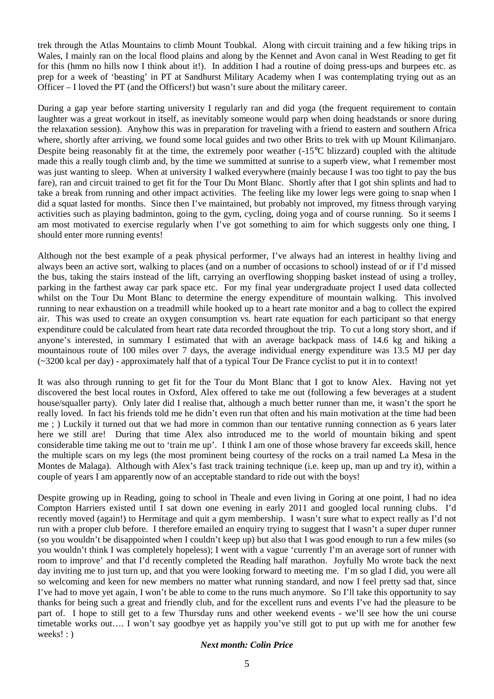trek through the Atlas Mountains to climb Mount Toubkal. Along with circuit training and a few hiking trips in Wales, I mainly ran on the local flood plains and along by the Kennet and Avon canal in West Reading to get fit for this (hmm no hills now I think about it!). In addition I had a routine of doing press-ups and burpees etc. as prep for a week of 'beasting' in PT at Sandhurst Military Academy when I was contemplating trying out as an Officer – I loved the PT (and the Officers!) but wasn't sure about the military career.

During a gap year before starting university I regularly ran and did yoga (the frequent requirement to contain laughter was a great workout in itself, as inevitably someone would parp when doing headstands or snore during the relaxation session). Anyhow this was in preparation for traveling with a friend to eastern and southern Africa where, shortly after arriving, we found some local guides and two other Brits to trek with up Mount Kilimanjaro. Despite being reasonably fit at the time, the extremely poor weather  $(-15^{\circ}C)$  blizzard) coupled with the altitude made this a really tough climb and, by the time we summitted at sunrise to a superb view, what I remember most was just wanting to sleep. When at university I walked everywhere (mainly because I was too tight to pay the bus fare), ran and circuit trained to get fit for the Tour Du Mont Blanc. Shortly after that I got shin splints and had to take a break from running and other impact activities. The feeling like my lower legs were going to snap when I did a squat lasted for months. Since then I've maintained, but probably not improved, my fitness through varying activities such as playing badminton, going to the gym, cycling, doing yoga and of course running. So it seems I am most motivated to exercise regularly when I've got something to aim for which suggests only one thing, I should enter more running events!

Although not the best example of a peak physical performer, I've always had an interest in healthy living and always been an active sort, walking to places (and on a number of occasions to school) instead of or if I'd missed the bus, taking the stairs instead of the lift, carrying an overflowing shopping basket instead of using a trolley, parking in the farthest away car park space etc. For my final year undergraduate project I used data collected whilst on the Tour Du Mont Blanc to determine the energy expenditure of mountain walking. This involved running to near exhaustion on a treadmill while hooked up to a heart rate monitor and a bag to collect the expired air. This was used to create an oxygen consumption vs. heart rate equation for each participant so that energy expenditure could be calculated from heart rate data recorded throughout the trip. To cut a long story short, and if anyone's interested, in summary I estimated that with an average backpack mass of 14.6 kg and hiking a mountainous route of 100 miles over 7 days, the average individual energy expenditure was 13.5 MJ per day (~3200 kcal per day) - approximately half that of a typical Tour De France cyclist to put it in to context!

It was also through running to get fit for the Tour du Mont Blanc that I got to know Alex. Having not yet discovered the best local routes in Oxford, Alex offered to take me out (following a few beverages at a student house/squaller party). Only later did I realise that, although a much better runner than me, it wasn't the sport he really loved. In fact his friends told me he didn't even run that often and his main motivation at the time had been me ; ) Luckily it turned out that we had more in common than our tentative running connection as 6 years later here we still are! During that time Alex also introduced me to the world of mountain biking and spent considerable time taking me out to 'train me up'. I think I am one of those whose bravery far exceeds skill, hence the multiple scars on my legs (the most prominent being courtesy of the rocks on a trail named La Mesa in the Montes de Malaga). Although with Alex's fast track training technique (i.e. keep up, man up and try it), within a couple of years I am apparently now of an acceptable standard to ride out with the boys!

Despite growing up in Reading, going to school in Theale and even living in Goring at one point, I had no idea Compton Harriers existed until I sat down one evening in early 2011 and googled local running clubs. I'd recently moved (again!) to Hermitage and quit a gym membership. I wasn't sure what to expect really as I'd not run with a proper club before. I therefore emailed an enquiry trying to suggest that I wasn't a super duper runner (so you wouldn't be disappointed when I couldn't keep up) but also that I was good enough to run a few miles (so you wouldn't think I was completely hopeless); I went with a vague 'currently I'm an average sort of runner with room to improve' and that I'd recently completed the Reading half marathon. Joyfully Mo wrote back the next day inviting me to just turn up, and that you were looking forward to meeting me. I'm so glad I did, you were all so welcoming and keen for new members no matter what running standard, and now I feel pretty sad that, since I've had to move yet again, I won't be able to come to the runs much anymore. So I'll take this opportunity to say thanks for being such a great and friendly club, and for the excellent runs and events I've had the pleasure to be part of. I hope to still get to a few Thursday runs and other weekend events - we'll see how the uni course timetable works out…. I won't say goodbye yet as happily you've still got to put up with me for another few weeks! : )

#### *Next month: Colin Price*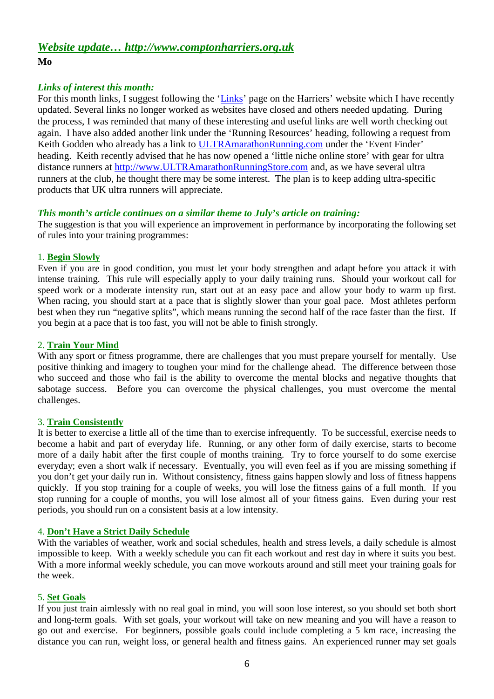# *Website update… http://www.comptonharriers.org.uk* **Mo**

## *Links of interest this month:*

For this month links, I suggest following the 'Links' page on the Harriers' website which I have recently updated. Several links no longer worked as websites have closed and others needed updating. During the process, I was reminded that many of these interesting and useful links are well worth checking out again. I have also added another link under the 'Running Resources' heading, following a request from Keith Godden who already has a link to ULTRAmarathonRunning.com under the 'Event Finder' heading. Keith recently advised that he has now opened a 'little niche online store' with gear for ultra distance runners at http://www.ULTRAmarathonRunningStore.com and, as we have several ultra runners at the club, he thought there may be some interest. The plan is to keep adding ultra-specific products that UK ultra runners will appreciate.

## *This month's article continues on a similar theme to July's article on training:*

The suggestion is that you will experience an improvement in performance by incorporating the following set of rules into your training programmes:

## 1. **Begin Slowly**

Even if you are in good condition, you must let your body strengthen and adapt before you attack it with intense training. This rule will especially apply to your daily training runs. Should your workout call for speed work or a moderate intensity run, start out at an easy pace and allow your body to warm up first. When racing, you should start at a pace that is slightly slower than your goal pace. Most athletes perform best when they run "negative splits", which means running the second half of the race faster than the first. If you begin at a pace that is too fast, you will not be able to finish strongly.

## 2. **Train Your Mind**

With any sport or fitness programme, there are challenges that you must prepare yourself for mentally. Use positive thinking and imagery to toughen your mind for the challenge ahead. The difference between those who succeed and those who fail is the ability to overcome the mental blocks and negative thoughts that sabotage success. Before you can overcome the physical challenges, you must overcome the mental challenges.

## 3. **Train Consistently**

It is better to exercise a little all of the time than to exercise infrequently. To be successful, exercise needs to become a habit and part of everyday life. Running, or any other form of daily exercise, starts to become more of a daily habit after the first couple of months training. Try to force yourself to do some exercise everyday; even a short walk if necessary. Eventually, you will even feel as if you are missing something if you don't get your daily run in. Without consistency, fitness gains happen slowly and loss of fitness happens quickly. If you stop training for a couple of weeks, you will lose the fitness gains of a full month. If you stop running for a couple of months, you will lose almost all of your fitness gains. Even during your rest periods, you should run on a consistent basis at a low intensity.

## 4. **Don't Have a Strict Daily Schedule**

With the variables of weather, work and social schedules, health and stress levels, a daily schedule is almost impossible to keep. With a weekly schedule you can fit each workout and rest day in where it suits you best. With a more informal weekly schedule, you can move workouts around and still meet your training goals for the week.

## 5. **Set Goals**

If you just train aimlessly with no real goal in mind, you will soon lose interest, so you should set both short and long-term goals. With set goals, your workout will take on new meaning and you will have a reason to go out and exercise. For beginners, possible goals could include completing a 5 km race, increasing the distance you can run, weight loss, or general health and fitness gains. An experienced runner may set goals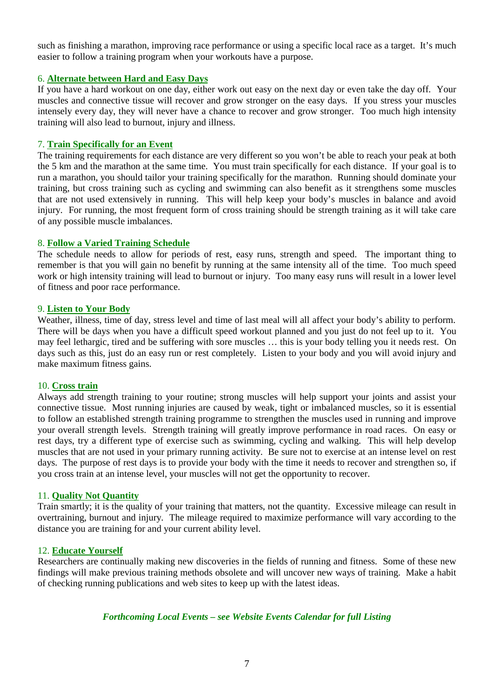such as finishing a marathon, improving race performance or using a specific local race as a target. It's much easier to follow a training program when your workouts have a purpose.

## 6. **Alternate between Hard and Easy Days**

If you have a hard workout on one day, either work out easy on the next day or even take the day off. Your muscles and connective tissue will recover and grow stronger on the easy days. If you stress your muscles intensely every day, they will never have a chance to recover and grow stronger. Too much high intensity training will also lead to burnout, injury and illness.

### 7. **Train Specifically for an Event**

The training requirements for each distance are very different so you won't be able to reach your peak at both the 5 km and the marathon at the same time. You must train specifically for each distance. If your goal is to run a marathon, you should tailor your training specifically for the marathon. Running should dominate your training, but cross training such as cycling and swimming can also benefit as it strengthens some muscles that are not used extensively in running. This will help keep your body's muscles in balance and avoid injury. For running, the most frequent form of cross training should be strength training as it will take care of any possible muscle imbalances.

### 8. **Follow a Varied Training Schedule**

The schedule needs to allow for periods of rest, easy runs, strength and speed. The important thing to remember is that you will gain no benefit by running at the same intensity all of the time. Too much speed work or high intensity training will lead to burnout or injury. Too many easy runs will result in a lower level of fitness and poor race performance.

### 9. **Listen to Your Body**

Weather, illness, time of day, stress level and time of last meal will all affect your body's ability to perform. There will be days when you have a difficult speed workout planned and you just do not feel up to it. You may feel lethargic, tired and be suffering with sore muscles … this is your body telling you it needs rest. On days such as this, just do an easy run or rest completely. Listen to your body and you will avoid injury and make maximum fitness gains.

#### 10. **Cross train**

Always add strength training to your routine; strong muscles will help support your joints and assist your connective tissue. Most running injuries are caused by weak, tight or imbalanced muscles, so it is essential to follow an established strength training programme to strengthen the muscles used in running and improve your overall strength levels. Strength training will greatly improve performance in road races. On easy or rest days, try a different type of exercise such as swimming, cycling and walking. This will help develop muscles that are not used in your primary running activity. Be sure not to exercise at an intense level on rest days. The purpose of rest days is to provide your body with the time it needs to recover and strengthen so, if you cross train at an intense level, your muscles will not get the opportunity to recover.

### 11. **Quality Not Quantity**

Train smartly; it is the quality of your training that matters, not the quantity. Excessive mileage can result in overtraining, burnout and injury. The mileage required to maximize performance will vary according to the distance you are training for and your current ability level.

#### 12. **Educate Yourself**

Researchers are continually making new discoveries in the fields of running and fitness. Some of these new findings will make previous training methods obsolete and will uncover new ways of training. Make a habit of checking running publications and web sites to keep up with the latest ideas.

#### *Forthcoming Local Events – see Website Events Calendar for full Listing*